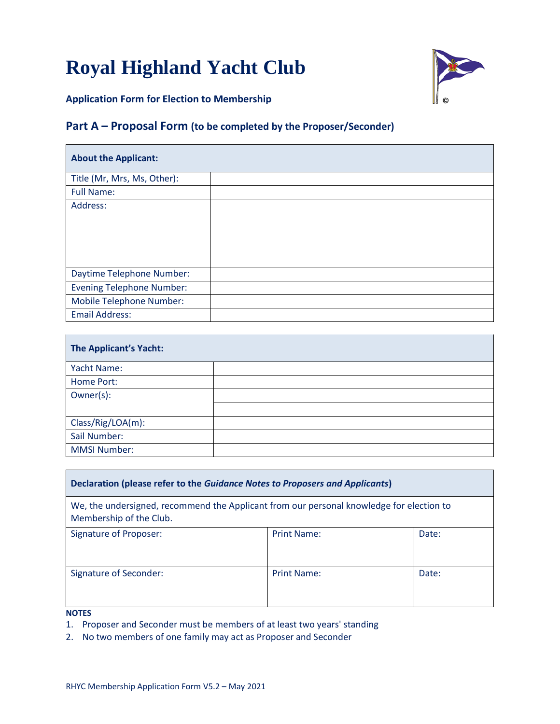# **Royal Highland Yacht Club**



**Application Form for Election to Membership**

### **Part A – Proposal Form (to be completed by the Proposer/Seconder)**

| <b>About the Applicant:</b>      |  |
|----------------------------------|--|
| Title (Mr, Mrs, Ms, Other):      |  |
| <b>Full Name:</b>                |  |
| Address:                         |  |
| Daytime Telephone Number:        |  |
| <b>Evening Telephone Number:</b> |  |
| Mobile Telephone Number:         |  |
| <b>Email Address:</b>            |  |

| The Applicant's Yacht: |  |
|------------------------|--|
| Yacht Name:            |  |
| Home Port:             |  |
| Owner(s):              |  |
|                        |  |
| Class/Rig/LOA(m):      |  |
| Sail Number:           |  |
| <b>MMSI Number:</b>    |  |

| Declaration (please refer to the Guidance Notes to Proposers and Applicants)                                        |                    |       |  |  |
|---------------------------------------------------------------------------------------------------------------------|--------------------|-------|--|--|
| We, the undersigned, recommend the Applicant from our personal knowledge for election to<br>Membership of the Club. |                    |       |  |  |
| <b>Signature of Proposer:</b>                                                                                       | <b>Print Name:</b> | Date: |  |  |
| Signature of Seconder:                                                                                              | Print Name:        | Date: |  |  |

**NOTES**

1. Proposer and Seconder must be members of at least two years' standing

2. No two members of one family may act as Proposer and Seconder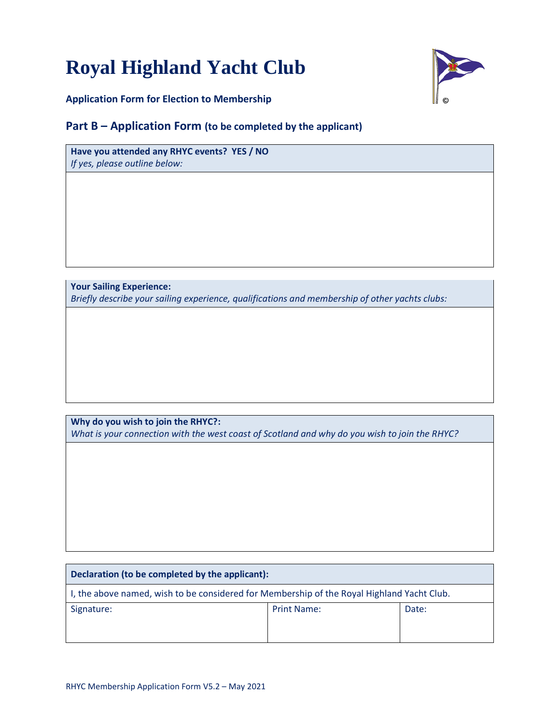## **Royal Highland Yacht Club**



**Application Form for Election to Membership**

#### **Part B – Application Form (to be completed by the applicant)**

**Have you attended any RHYC events? YES / NO** *If yes, please outline below:*

**Your Sailing Experience:** *Briefly describe your sailing experience, qualifications and membership of other yachts clubs:*

**Why do you wish to join the RHYC?:** *What is your connection with the west coast of Scotland and why do you wish to join the RHYC?*

| Declaration (to be completed by the applicant):                                            |       |  |  |  |
|--------------------------------------------------------------------------------------------|-------|--|--|--|
| I, the above named, wish to be considered for Membership of the Royal Highland Yacht Club. |       |  |  |  |
| <b>Print Name:</b>                                                                         | Date: |  |  |  |
|                                                                                            |       |  |  |  |
|                                                                                            |       |  |  |  |